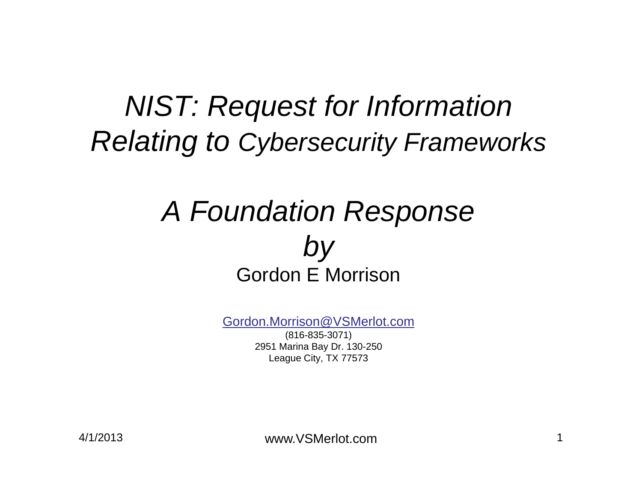#### *NIST: Request for Information Relating to Cybersecurity Frameworks*

#### *A Foundation Response by* Gordon E Morrison

Gordon.Morrison@VSMerlot.com

(816-835-3071) 2951 Marina Bay Dr. 130-250 League City, TX 77573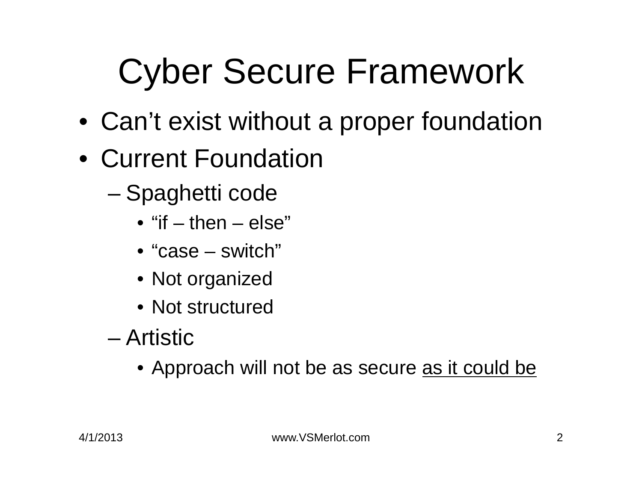# Cyber Secure Framework

- Can't exist without a proper foundation
- Current Foundation
	- Spaghetti code
		- "if then else"
		- "case switch"
		- Not organized
		- Not structured
	- Artistic
		- Approach will not be as secure <u>as it could be</u>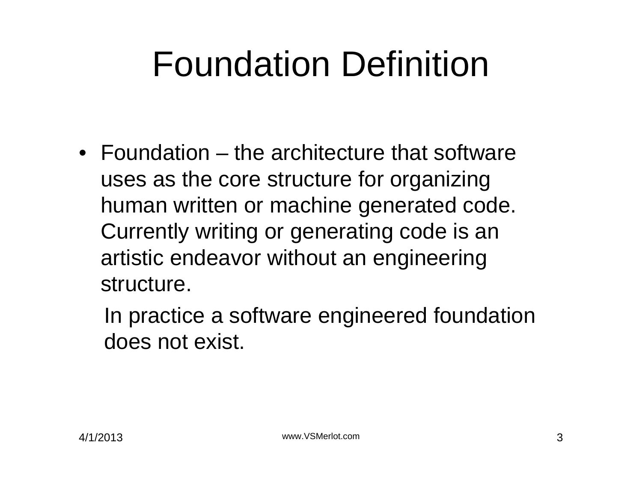# Foundation Definition

• Foundation – the architecture that software uses as the core structure for organizing human written or machine generated code. Currently writing or generating code is an artistic endeavor without an engineering structure.

In practice a software engineered foundation does not exist.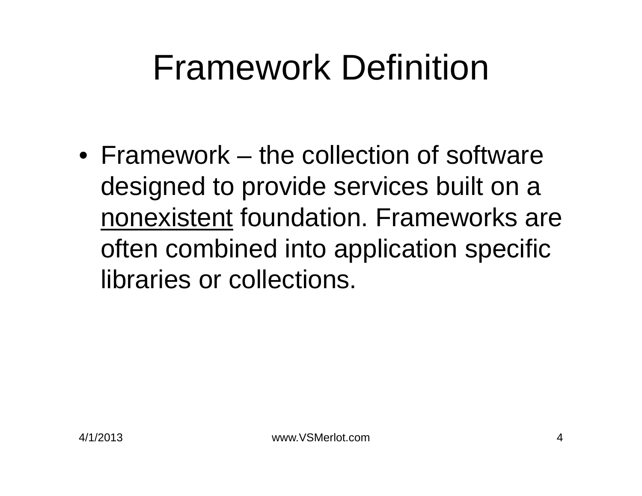### Framework Definition

• Framework – the collection of software designed to provide services built on a nonexistent foundation. Frameworks are often combined into application specific libraries or collections.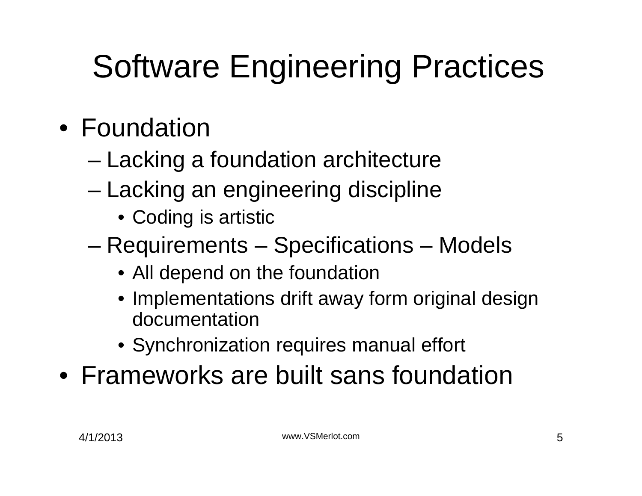#### Software Engineering Practices

- Foundation
	- Lacking a foundation architecture
	- Lacking an engineering discipline
		- Coding is artistic
	- Requirements Specifications Models
		- All depend on the foundation
		- Implementations drift away form original design documentation
		- Synchronization requires manual effort
- Frameworks are built sans foundation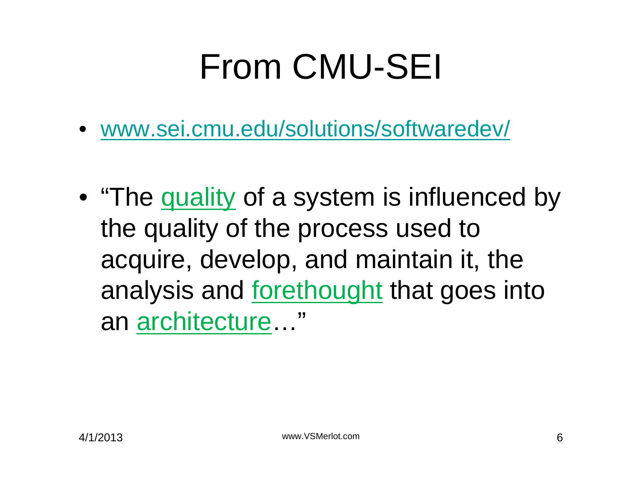# From CMU-SEI

- www.sei.cmu.edu/solutions/softwaredev/
- "The quality of a system is influenced by the quality of the process used to acquire, develop, and maintain it, the analysis and forethought that goes into an architecture…"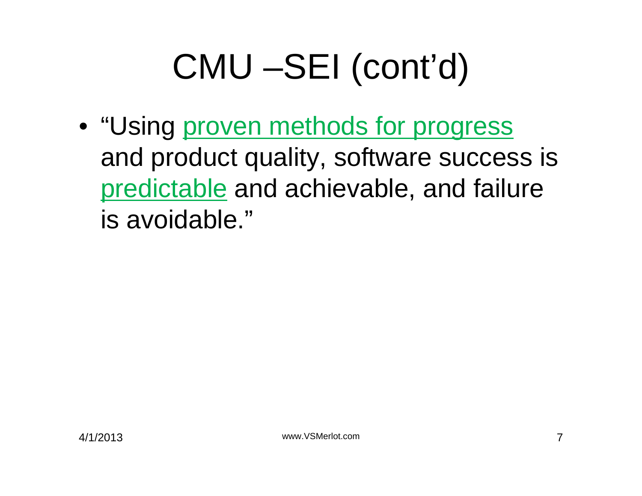# CMU –SEI (cont'd)

• "Using proven methods for progress and product quality, software success is predictable and achievable, and failure is avoidable."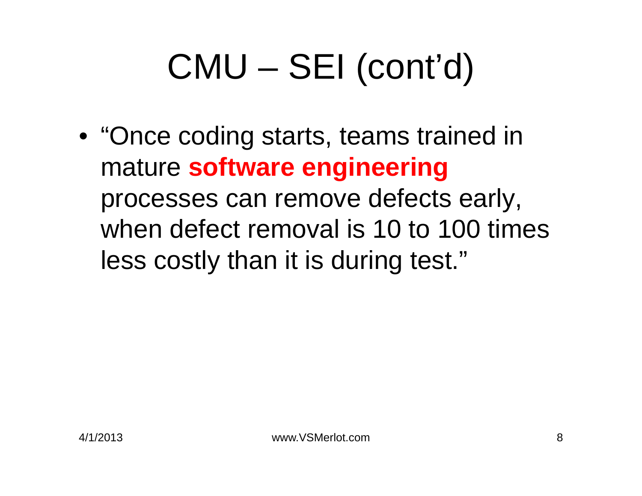# CMU – SEI (cont'd)

• "Once coding starts, teams trained in mature **software engineering**  processes can remove defects early, when defect removal is 10 to 100 times less costly than it is during test."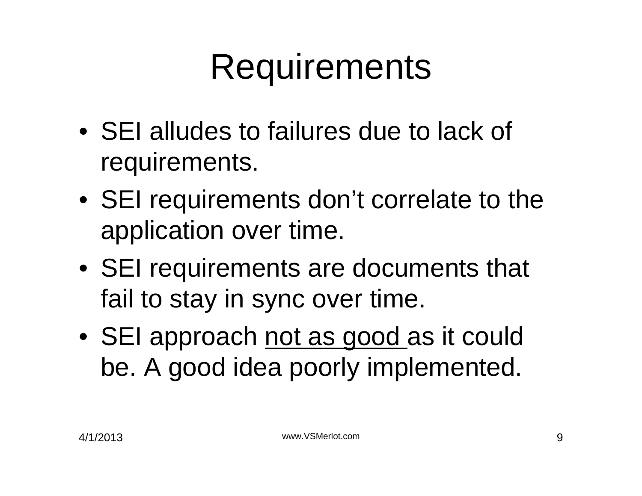### **Requirements**

- SEI alludes to failures due to lack of requirements.
- SEI requirements don't correlate to the application over time.
- SEI requirements are documents that fail to stay in sync over time.
- SEI approach not as good as it could be. A good idea poorly implemented.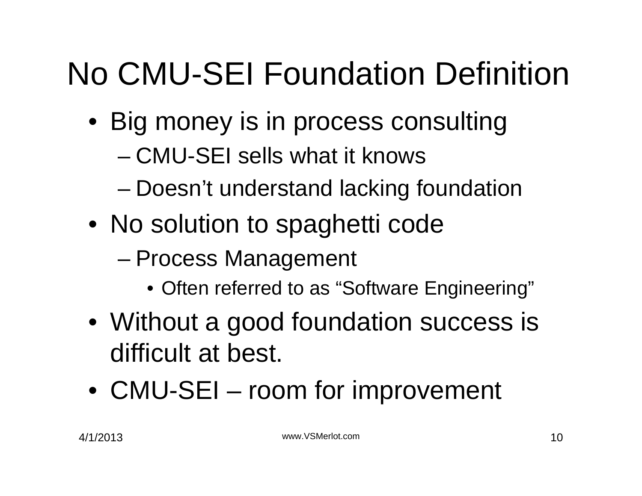#### No CMU-SEI Foundation Definition

- Big money is in process consulting
	- CMU-SEI sells what it knows
	- Doesn't understand lacking foundation
- No solution to spaghetti code
	- Process Management
		- Often referred to as "Software Engineering"
- Without a good foundation success is difficult at best.
- CMU-SEI room for improvement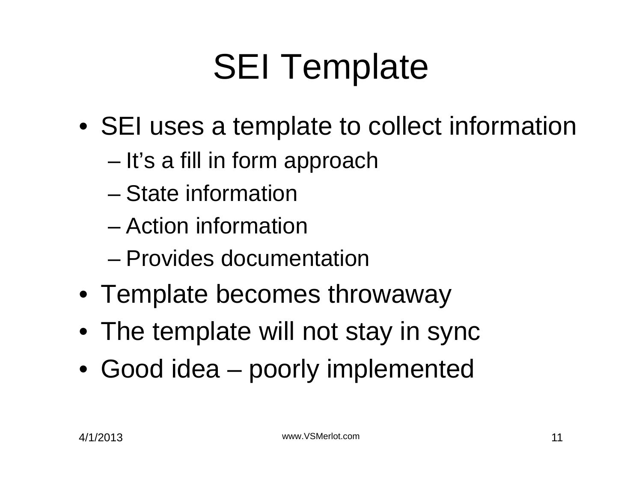# SEI Template

- SEI uses a template to collect information
	- It's a fill in form approach
	- State information
	- Action information
	- Provides documentation
- Template becomes throwaway
- The template will not stay in sync
- Good idea poorly implemented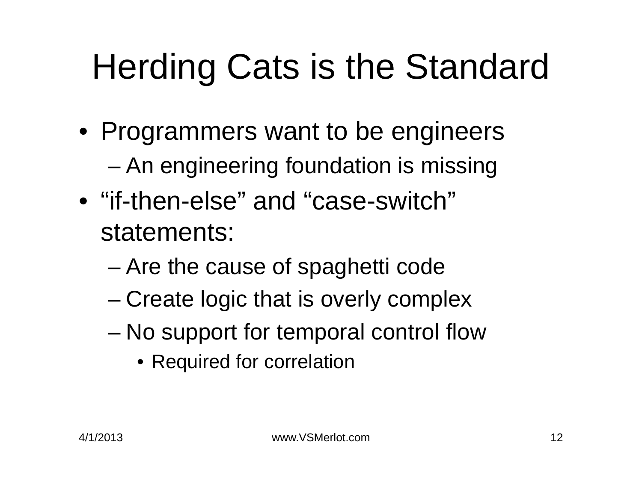# Herding Cats is the Standard

- Programmers want to be engineers
	- An engineering foundation is missing
- "if-then-else" and "case-switch" statements:
	- Are the cause of spaghetti code
	- Create logic that is overly complex
	- No support for temporal control flow
		- Required for correlation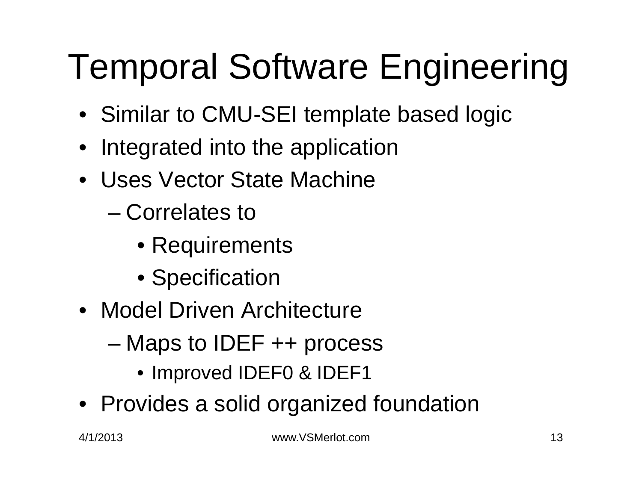# Temporal Software Engineering

- Similar to CMU-SEI template based logic
- Integrated into the application
- Uses Vector State Machine
	- Correlates to
		- Requirements
		- Specification
- Model Driven Architecture
	- Maps to IDEF ++ process
		- Improved IDEF0 & IDEF1
- Provides a solid organized foundation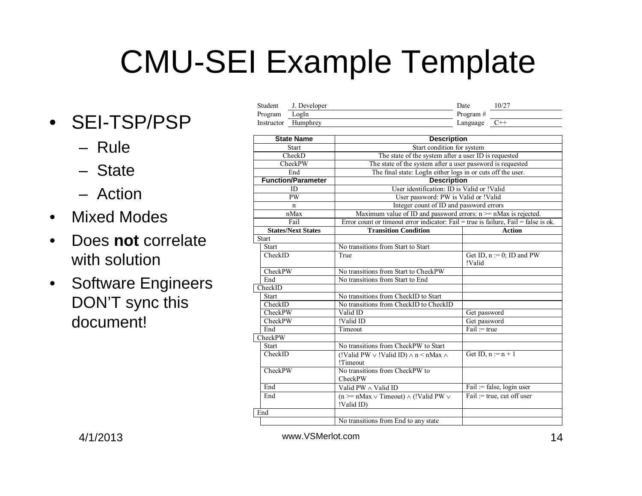#### CMU-SEI Example Template

- SEI-TSP/PSP
	- Rule
	- State
	- Action
- $\bullet$ Mixed Modes
- • Does **not** correlate with solution
- $\bullet$  Software Engineers DON'T sync this document!

| Student    | J. Developer | Date      | $10/2^{-}$ |
|------------|--------------|-----------|------------|
| Program    | LogIn        | Program # |            |
| Instructor | Humphrey     | Language  |            |

| <b>State Name</b>         | <b>Description</b>                                                                  |                                                             |  |  |  |  |
|---------------------------|-------------------------------------------------------------------------------------|-------------------------------------------------------------|--|--|--|--|
| <b>Start</b>              | Start condition for system                                                          |                                                             |  |  |  |  |
| CheckD                    | The state of the system after a user ID is requested                                |                                                             |  |  |  |  |
| CheckPW                   | The state of the system after a user password is requested                          |                                                             |  |  |  |  |
| End                       |                                                                                     | The final state: LogIn either logs in or cuts off the user. |  |  |  |  |
| <b>Function/Parameter</b> | <b>Description</b>                                                                  |                                                             |  |  |  |  |
| ID                        | User identification: ID is Valid or !Valid                                          |                                                             |  |  |  |  |
| <b>PW</b>                 | User password: PW is Valid or !Valid                                                |                                                             |  |  |  |  |
| n                         | Integer count of ID and password errors                                             |                                                             |  |  |  |  |
| nMax                      | Maximum value of ID and password errors: $n \ge n$ Max is rejected.                 |                                                             |  |  |  |  |
| Fail                      | Error count or timeout error indicator: Fail = true is failure, Fail = false is ok. |                                                             |  |  |  |  |
| <b>States/Next States</b> | <b>Transition Condition</b>                                                         | <b>Action</b>                                               |  |  |  |  |
| Start                     |                                                                                     |                                                             |  |  |  |  |
| <b>Start</b>              | No transitions from Start to Start                                                  |                                                             |  |  |  |  |
| CheckID                   | True                                                                                | Get ID, $n := 0$ ; ID and PW<br>!Valid                      |  |  |  |  |
| CheckPW                   | No transitions from Start to CheckPW                                                |                                                             |  |  |  |  |
| End                       | No transitions from Start to End                                                    |                                                             |  |  |  |  |
| CheckID                   |                                                                                     |                                                             |  |  |  |  |
| <b>Start</b>              | No transitions from CheckID to Start                                                |                                                             |  |  |  |  |
| CheckID                   | No transitions from CheckID to CheckID                                              |                                                             |  |  |  |  |
| CheckPW                   | Valid ID                                                                            | Get password                                                |  |  |  |  |
| CheckPW                   | !Valid ID                                                                           | Get password                                                |  |  |  |  |
| End                       | Timeout                                                                             | $Fail := true$                                              |  |  |  |  |
| CheckPW                   |                                                                                     |                                                             |  |  |  |  |
| <b>Start</b>              | No transitions from CheckPW to Start                                                |                                                             |  |  |  |  |
| CheckID                   | (!Valid PW $\vee$ !Valid ID) $\wedge$ n < nMax $\wedge$<br>!Timeout                 | Get ID, $n := n + 1$                                        |  |  |  |  |
| CheckPW                   |                                                                                     |                                                             |  |  |  |  |
| End                       | Valid PW $\wedge$ Valid ID                                                          | Fail := false, login user                                   |  |  |  |  |
| End                       | $(n \ge nMax \vee Timeout) \wedge (!Valid PW \vee$<br>!Valid ID)                    | Fail: = true, cut off user                                  |  |  |  |  |
| End                       |                                                                                     |                                                             |  |  |  |  |
|                           | No transitions from End to any state                                                |                                                             |  |  |  |  |

4/1/2013 www.VSMerlot.com 14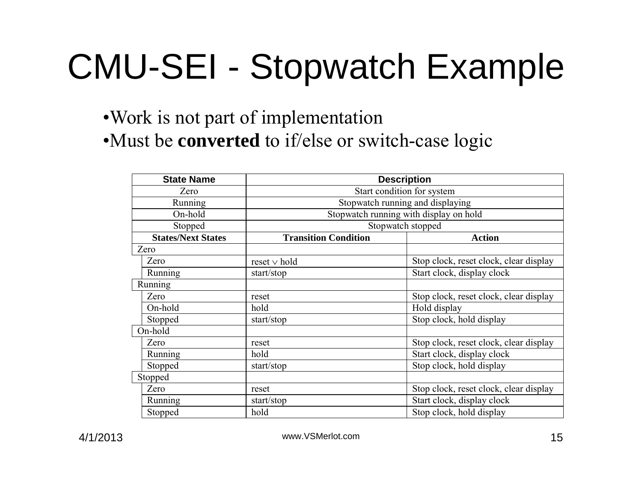# CMU-SEI - Stopwatch Example

#### •Work is not part of implementation •Must be **converted** to if/else or switch-case logic

| <b>State Name</b>         | <b>Description</b>                       |                                        |  |  |  |  |
|---------------------------|------------------------------------------|----------------------------------------|--|--|--|--|
| Zero                      | Start condition for system               |                                        |  |  |  |  |
| Running                   | Stopwatch running and displaying         |                                        |  |  |  |  |
| On-hold                   | Stopwatch running with display on hold   |                                        |  |  |  |  |
| Stopped                   | Stopwatch stopped                        |                                        |  |  |  |  |
| <b>States/Next States</b> | <b>Transition Condition</b>              | <b>Action</b>                          |  |  |  |  |
| Zero                      |                                          |                                        |  |  |  |  |
| Zero                      | $reset \vee hold$                        | Stop clock, reset clock, clear display |  |  |  |  |
| Running                   | start/stop                               | Start clock, display clock             |  |  |  |  |
| Running                   |                                          |                                        |  |  |  |  |
| Zero                      | reset                                    | Stop clock, reset clock, clear display |  |  |  |  |
| On-hold                   | hold                                     | Hold display                           |  |  |  |  |
| Stopped                   | start/stop                               | Stop clock, hold display               |  |  |  |  |
| On-hold                   |                                          |                                        |  |  |  |  |
| Zero                      | reset                                    | Stop clock, reset clock, clear display |  |  |  |  |
| Running                   | hold                                     | Start clock, display clock             |  |  |  |  |
| Stopped                   | start/stop                               | Stop clock, hold display               |  |  |  |  |
| Stopped                   |                                          |                                        |  |  |  |  |
| Zero                      | reset                                    | Stop clock, reset clock, clear display |  |  |  |  |
| Running                   | Start clock, display clock<br>start/stop |                                        |  |  |  |  |
| Stopped                   | hold                                     | Stop clock, hold display               |  |  |  |  |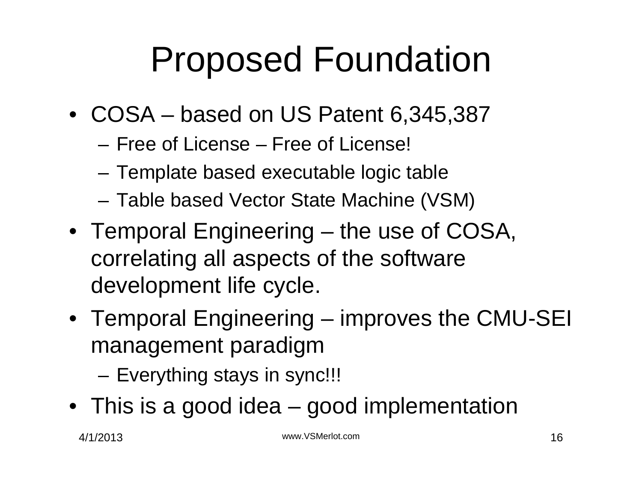### Proposed Foundation

- COSA based on US Patent 6,345,387
	- Free of License Free of License!
	- Template based executable logic table
	- Table based Vector State Machine (VSM)
- Temporal Engineering the use of COSA, correlating all aspects of the software development life cycle.
- Temporal Engineering improves the CMU-SEI management paradigm

– Everything stays in sync!!!

• This is a good idea – good implementation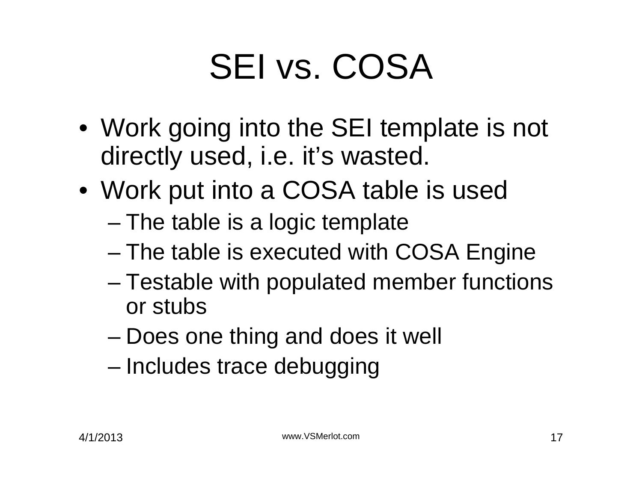# SEI vs. COSA

- Work going into the SEI template is not directly used, i.e. it's wasted.
- Work put into a COSA table is used
	- The table is a logic template
	- The table is executed with COSA Engine
	- Testable with populated member functions or stubs
	- Does one thing and does it well
	- Includes trace debugging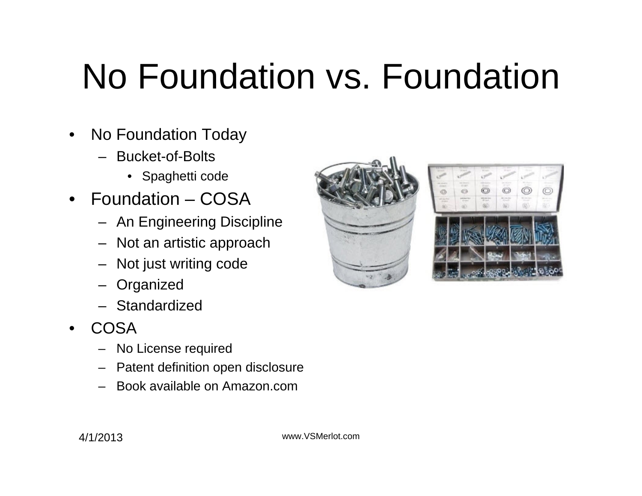### No Foundation vs. Foundation

- No Foundation Today
	- Bucket-of-Bolts
		- Spaghetti code
- Foundation COSA
	- An Engineering Discipline
	- Not an artistic approach
	- Not just writing code
	- **Organized**
	- Standardized
- •**COSA** 
	- No License required
	- Patent definition open disclosure
	- Book available on Amazon.com

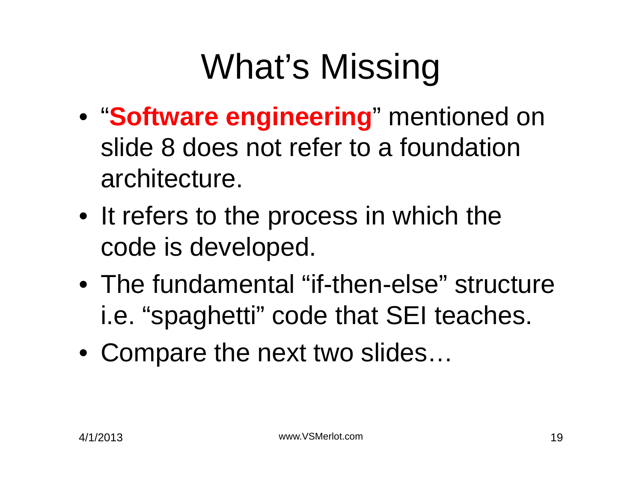# What's Missing

- "**Software engineering**" mentioned on slide 8 does not refer to a foundation architecture.
- It refers to the process in which the code is developed.
- The fundamental "if-then-else" structure i.e. "spaghetti" code that SEI teaches.
- Compare the next two slides...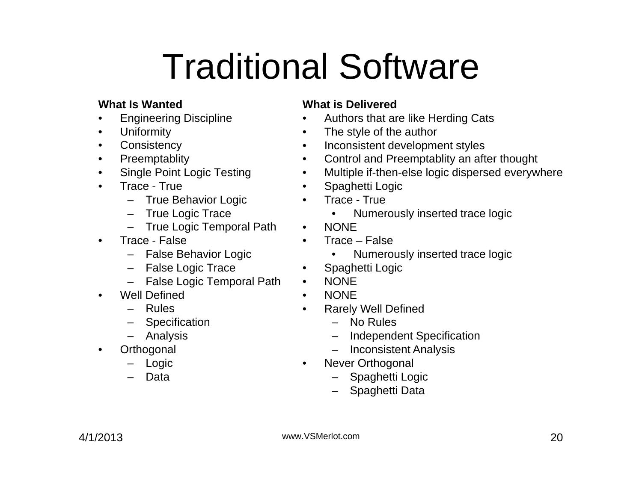# Traditional Software

#### **What Is Wanted**

- Engineering Discipline
- Uniformity
- Consistency
- Preemptablity
- Single Point Logic Testing
- Trace True
	- True Behavior Logic
	- True Logic Trace
	- True Logic Temporal Path
- Trace False
	- False Behavior Logic
	- False Logic Trace
	- False Logic Temporal Path
- Well Defined
	- Rules
	- Specification
	- Analysis
- Orthogonal
	- Logic
	- Data

#### **What is Delivered**

- Authors that are like Herding Cats
- The style of the author
- Inconsistent development styles
- Control and Preemptablity an after thought
- Multiple if-then-else logic dispersed everywhere
- Spaghetti Logic
- Trace True
	- Numerously inserted trace logic
- •NONE
- Trace False
	- Numerously inserted trace logic
- Spaghetti Logic
- •NONE
- $\bullet$ **NONE**
- $\bullet$  Rarely Well Defined
	- No Rules
	- Independent Specification
	- Inconsistent Analysis
- Never Orthogonal
	- Spaghetti Logic
	- Spaghetti Data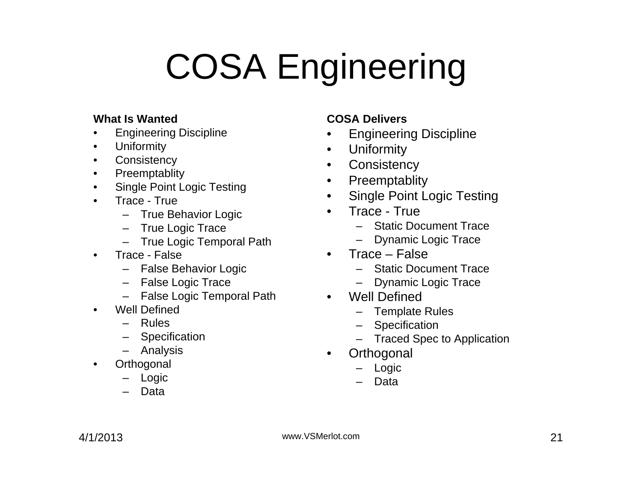# COSA Engineering

#### **What Is Wanted**

- Engineering Discipline
- Uniformity
- Consistency
- Preemptablity
- Single Point Logic Testing
- Trace True
	- True Behavior Logic
	- True Logic Trace
	- True Logic Temporal Path
- Trace False
	- False Behavior Logic
	- False Logic Trace
	- False Logic Temporal Path
- Well Defined
	- Rules
	- Specification
	- Analysis
- **Orthogonal** 
	- Logic
	- Data

#### **COSA Delivers**

- Engineering Discipline
- •**Uniformity**
- Consistency
- Preemptablity
- Single Point Logic Testing
- Trace True
	- Static Document Trace
	- Dynamic Logic Trace
- Trace False
	- Static Document Trace
	- Dynamic Logic Trace
- Well Defined
	- Template Rules
	- Specification
	- Traced Spec to Application
- Orthogonal
	- Logic
	- Data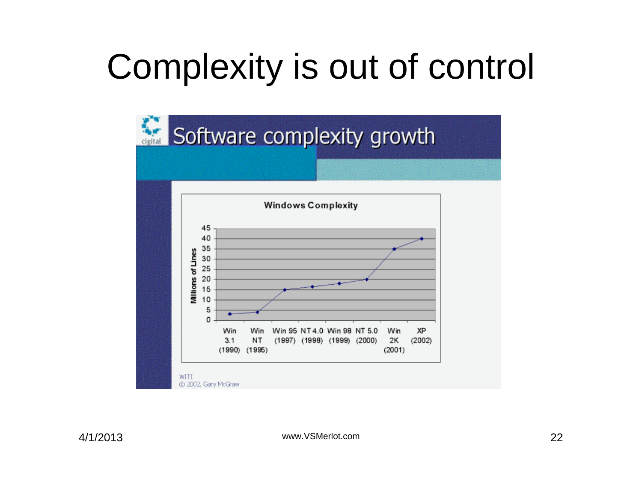### Complexity is out of control

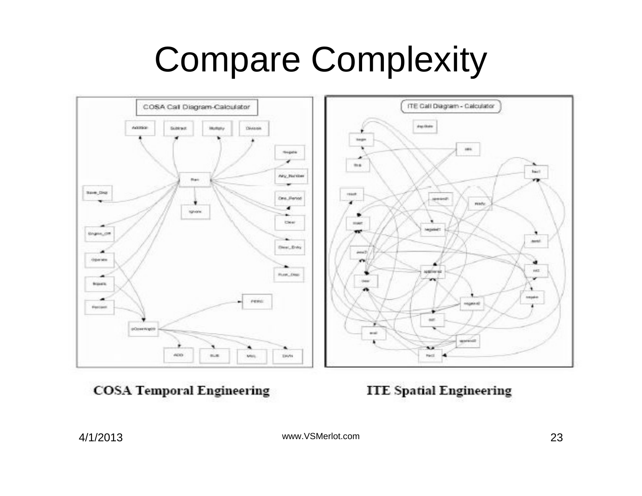### Compare Complexity



**COSA Temporal Engineering** 

**ITE Spatial Engineering** 

4/1/2013 www.VSMerlot.com 23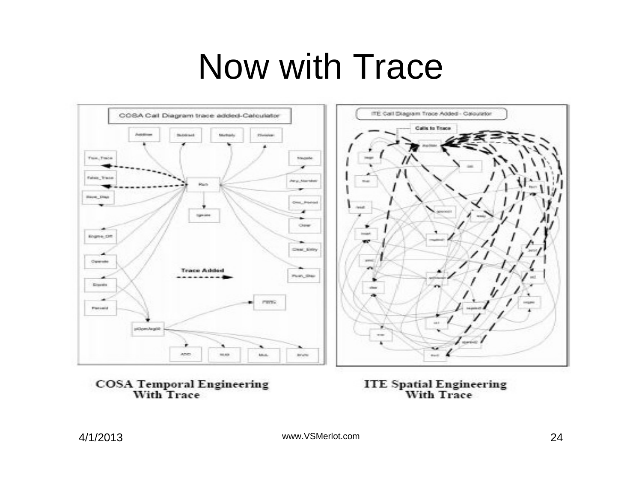#### Now with Trace



**COSA Temporal Engineering<br>With Trace** 

**ITE Spatial Engineering<br>With Trace** 

4/1/2013 www.VSMerlot.com 24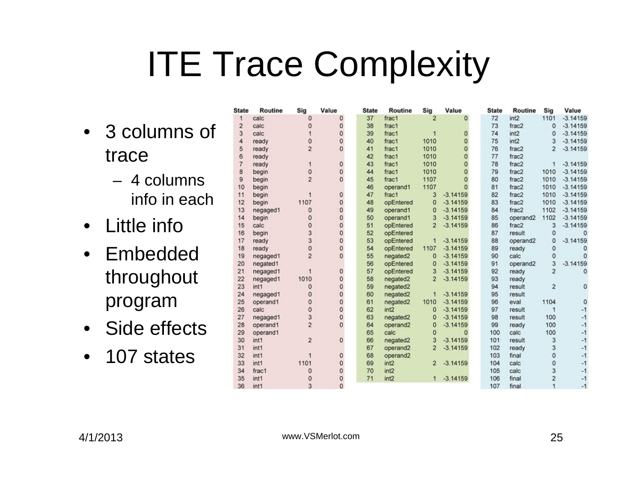### ITE Trace Complexity

- 3 columns of trace
	- 4 columns info in each
- Little info
- Embedded throughout program
- Side effects
- 107 states

| <b>State</b>   | Routine          | Sig            | Value        | <b>State</b> | Routine              | Sig            | Value        | <b>State</b> | Routine          | Sig                 | Value      |
|----------------|------------------|----------------|--------------|--------------|----------------------|----------------|--------------|--------------|------------------|---------------------|------------|
| 1              | calc             | 0              | 0            | 37           | frac1                | $\overline{2}$ | $\Omega$     | 72           | int <sub>2</sub> | 1101                | $-3.14159$ |
| $\overline{2}$ | calc             | 0              | 0            | 38           | frac1                |                |              | 73           | frac2            | $\mathbf 0$         | $-3.14159$ |
| 3              | calc             |                | 0            | 39           | frac1                |                | 0            | 74           | int2             | 0                   | $-3.14159$ |
| 4              | ready            | 0              | 0            | 40           | frac1                | 1010           | $\mathbf 0$  | 75           | int2             | 3                   | $-3.14159$ |
| 5              | ready            | $\overline{2}$ | 0            | 41           | frac1                | 1010           | $\mathbf 0$  | 76           | frac2            | $\overline{2}$      | $-3.14159$ |
| 6              | ready            |                |              | 42           | frac1                | 1010           | $\mathbf 0$  | 77           | frac2            |                     |            |
| $\overline{7}$ | ready            |                | $\mathbf{0}$ | 43           | frac1                | 1010           | $\mathbf 0$  | 78           | frac2            | 1                   | $-3.14159$ |
| 8              | begin            | 0              | 0            | 44           | frac1                | 1010           | $\mathbf{0}$ | 79           | frac2            | 1010                | $-3.14159$ |
| 9              | begin            | $\overline{2}$ | $\Omega$     | 45           | frac1                | 1107           | $\Omega$     | 80           | frac2            | 1010                | $-3.14159$ |
| 10             | begin            |                |              | 46           | operand1             | 1107           | $\Omega$     | 81           | frac2            | 1010                | $-3.14159$ |
| 11             | begin            |                | 0            | 47           | frac1                | 3              | $-3.14159$   | 82           | frac2            | 1010                | $-3.14159$ |
| 12             | begin            | 1107           | $\Omega$     | 48           | opEntered            | $\bf{0}$       | $-3.14159$   | 83           | frac2            | 1010                | $-3.14159$ |
| 13             | negaged1         | 0              | $\mathbf{0}$ | 49           | operand1             | 0              | $-3.14159$   | 84           | frac2            | 1102                | $-3.14159$ |
| 14             | begin            | $\Omega$       | $\mathbf{0}$ | 50           | operand1             | 3              | $-3.14159$   | 85           | operand2         | 1102                | $-3.14159$ |
| 15             | calc             | $\Omega$       | $\mathbf{0}$ | 51           | opEntered            | $\overline{a}$ | $-3.14159$   | 86           | frac2            | 3                   | $-3.14159$ |
| 16             | begin            | 3              | 0            | 52           | opEntered            |                |              | 87           | result           | $\mathbf{0}$        | $\Omega$   |
| 17             | ready            | 3              | 0            | 53           | opEntered            | 1              | $-3.14159$   | 88           | operand2         | 0                   | $-3.14159$ |
| 18             | ready            | $\overline{0}$ | 0            | 54           | opEntered            | 1107           | $-3.14159$   | 89           | ready            | $\Omega$            | 0          |
| 19             | negaged1         | $\overline{2}$ | $\Omega$     | 55           | negated2             | $\mathbf{0}$   | $-3.14159$   | 90           | calc             | $\Omega$            | $\Omega$   |
| 20             | negated1         |                |              | 56           | opEntered            | $\mathbf 0$    | $-3.14159$   | 91           | operand2         | 3                   | $-3.14159$ |
| 21             | negaged1         |                | 0            | 57           | opEntered            | 3              | $-3.14159$   | 92           | ready            | $\overline{2}$      | 0          |
| 22             | negaged1         | 1010           | 0            | 58           | negated2             | $\overline{2}$ | $-3.14159$   | 93           | ready            |                     |            |
| 23             | int1             | 0              | 0            | 59           | negated2             |                |              | 94           | result           | $\overline{2}$      | 0          |
| 24             | negaged1         | 0              | 0            | 60           | negated2             | 1              | $-3.14159$   | 95           | result           |                     |            |
| 25             | operand1         | 0              | 0            | 61           | negated2             | 1010           | $-3.14159$   | 96           | eval             | 1104                | 0          |
| 26             | calc             | $\mathbf 0$    | 0            | 62           | int <sub>2</sub>     | $\mathbf 0$    | $-3.14159$   | 97           | result           | 1                   | $-1$       |
| 27             | negaged1         | 3              | 0            | 63           | negated2             | 0              | $-3.14159$   | 98           | result           | 100                 | $-1$       |
| 28             | operand1         | $\overline{2}$ | 0            | 64           | operand2             | 0              | $-3.14159$   | 99           | ready            | 100                 | $-1$       |
| 29             | operand1         |                |              | 65           | calc                 | $\mathbf{0}$   | $\Omega$     | 100          | calc             | 100                 | $-1$       |
| 30             | int1             | $\overline{c}$ | 0            | 66           | negated2             | 3              | $-3.14159$   | 101          | result           | 3                   | $-1$       |
| 31             | int1             |                |              | 67           | operand <sub>2</sub> | $\overline{2}$ | $-3.14159$   | 102          | ready            | 3                   | $-1$       |
| 32             | int1             |                | 0            | 68           | operand2             |                |              | 103          | final            | $\overline{0}$      | $-1$       |
| 33             | int1             | 1101           |              | 69           | int2                 | $\overline{2}$ | $-3.14159$   | 104          | calc             | $\ddot{\mathbf{0}}$ | $-1$       |
| 34             | frac1            | $\Omega$       | 0            | 70           | int <sub>2</sub>     |                |              | 105          | calc             | 3                   | $-1$       |
| 35             | int1             |                | 0            | 71           | int2                 | 1              | $-3.14159$   | 106          | final            | $\overline{c}$      | $-1$       |
| 36             | int <sub>1</sub> |                | n            |              |                      |                |              | 107          | final            |                     | $-4$       |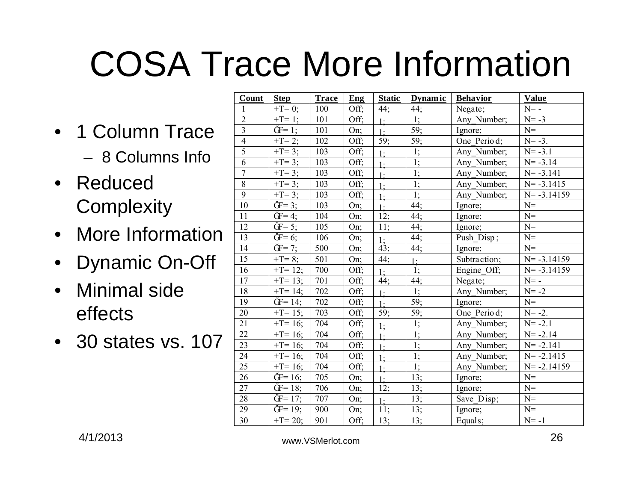# COSA Trace More Information

- 1 Column Trace – 8 Columns Info
- Reduced **Complexity**
- More Information
- Dynamic On-Off
- Minimal side effects
- 30 states vs. 107

| Count          | <b>Step</b>                   | <b>Trace</b> | Eng  | <b>Static</b>    | <b>Dynamic</b>   | <b>Behavior</b> | <b>Value</b>   |
|----------------|-------------------------------|--------------|------|------------------|------------------|-----------------|----------------|
| $\mathbf{1}$   | $+T=0$ ;                      | 100          | Off; | 44;              | 44;              | Negate;         | $N=$ -         |
| $\overline{2}$ | $+T = 1$ ;                    | 101          | Off: | 1:               | 1;               | Any Number;     | $N = -3$       |
| $\overline{3}$ | $\check{G} = 1$ ;             | 101          | On;  | $1 \cdot$        | 59;              | Ignore;         | $N =$          |
| $\overline{4}$ | $+T = 2;$                     | 102          | Off; | 59;              | 59;              | One Perio d;    | $N = -3$ .     |
| $\overline{5}$ | $+T=3;$                       | 103          | Off; | 1:               | 1;               | Any Number;     | $N = -3.1$     |
| 6              | $+T = 3;$                     | 103          | Off: | 1:               | 1;               | Any Number;     | $N = -3.14$    |
| $\overline{7}$ | $+T = 3$ ;                    | 103          | Off: | 1:               | 1;               | Any Number;     | $N = -3.141$   |
| $8\,$          | $+T=3;$                       | 103          | Off; | $\overline{1}$ : | 1;               | Any Number;     | $N = -3.1415$  |
| 9              | $+T=3;$                       | 103          | Off; | 1:               | 1;               | Any Number;     | $N = -3.14159$ |
| 10             | $\check{G}F = 3$ ;            | 103          | On;  | $1 -$            | 44;              | Ignore;         | $N =$          |
| 11             | $\tilde{G} = 4$ ;             | 104          | On;  | 12;              | 44;              | Ignore;         | $N =$          |
| 12             | $\check{G}F = 5$ ;            | 105          | On;  | 11;              | 44;              | Ignore;         | $N=$           |
| 13             | $\check{G}F = 6;$             | 106          | On;  | $1 \cdot$        | 44;              | Push Disp;      | $N=$           |
| 14             | $\overline{\mathbf{G}} = 7;$  | 500          | On;  | 43;              | 44;              | Ignore;         | $N =$          |
| 15             | $+T=8;$                       | 501          | On;  | 44;              | $1 -$            | Subtraction;    | $N = -3.14159$ |
| 16             | $+T = 12;$                    | 700          | Off; | $1 -$            | $\overline{1}$ ; | Engine Off;     | $N = -3.14159$ |
| 17             | $+T = 13;$                    | 701          | Off; | 44;              | 44;              | Negate;         | $N=$ -         |
| 18             | $+T = 14$ ;                   | 702          | Off; | $\frac{1}{2}$    | 1;               | Any Number;     | $N = -2$       |
| 19             | $\overline{\mathbf{G}} = 14;$ | 702          | Off; | $1 -$            | 59;              | Ignore;         | $N=$           |
| 20             | $+T = 15;$                    | 703          | Off; | 59;              | 59;              | One Period;     | $N = -2$ .     |
| 21             | $\overline{+}$ T= 16;         | 704          | Off; | 1:               | 1;               | Any Number;     | $N = -2.1$     |
| 22             | $+T = 16;$                    | 704          | Off; | 1:               | 1;               | Any Number;     | $N = -2.14$    |
| 23             | $+T = 16;$                    | 704          | Off; | $\frac{1}{2}$    | 1;               | Any Number;     | $N = -2.141$   |
| 24             | $+T = 16;$                    | 704          | Off; | $1 -$            | 1;               | Any Number;     | $N = -2.1415$  |
| 25             | $+T = 16;$                    | 704          | Off; | 1:               | 1;               | Any Number;     | $N = -2.14159$ |
| 26             | $\mathbf{\bar{G}} = 16;$      | 705          | On;  | $1 \cdot$        | 13;              | Ignore;         | $N =$          |
| 27             | $\rm \tilde{G}F = 18;$        | 706          | On;  | 12;              | 13;              | Ignore;         | $N=$           |
| 28             | $\tilde{G} = 17;$             | 707          | On;  | $1 \cdot$        | 13;              | Save Disp;      | $N=$           |
| 29             | $\rm \tilde{G} = 19;$         | 900          | On;  | 11:              | 13;              | Ignore;         | $N=$           |
| 30             | $+T = 20;$                    | 901          | Off; | 13;              | 13;              | Equals;         | $N = -1$       |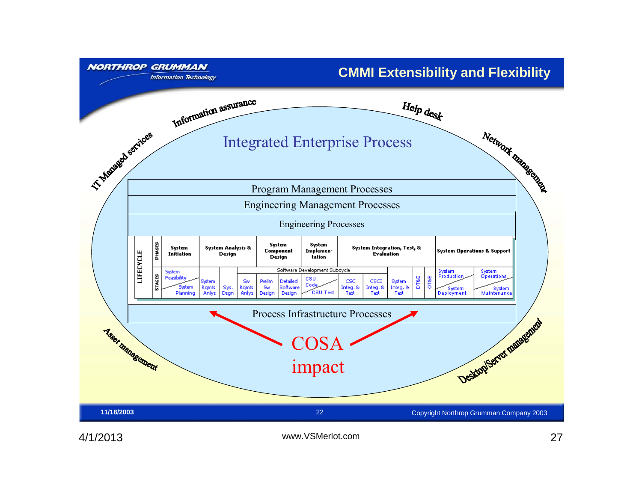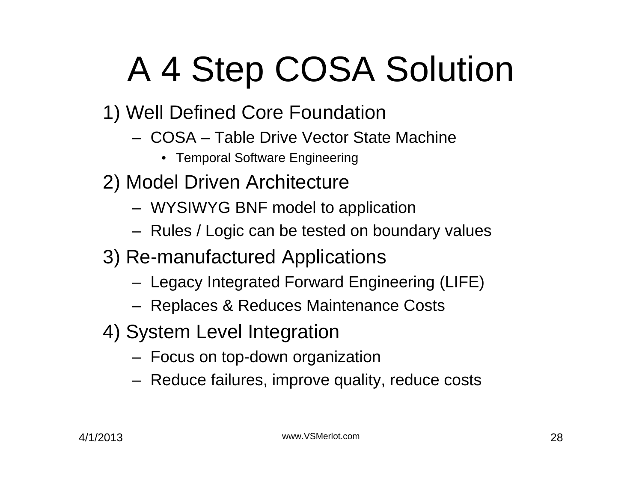# A 4 Step COSA Solution

- 1) Well Defined Core Foundation
	- COSA Table Drive Vector State Machine
		- Temporal Software Engineering
- 2) Model Driven Architecture
	- WYSIWYG BNF model to application
	- Rules / Logic can be tested on boundary values
- 3) Re-manufactured Applications
	- Legacy Integrated Forward Engineering (LIFE)
	- Replaces & Reduces Maintenance Costs
- 4) System Level Integration
	- Focus on top-down organization
	- Reduce failures, improve quality, reduce costs